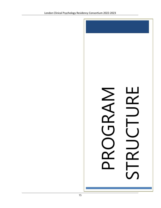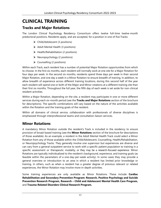# **CLINICAL TRAINING**

### **Tracks and Major Rotations**

The London Clinical Psychology Residency Consortium offers twelve full-time twelve-month predoctoral positions. Residents apply, and are accepted, for a position in one of five Tracks:

- Child/Adolescent (3 positions)
- $\triangleright$  Adult Mental Health (3 positions)
- $\triangleright$  Health/Rehabilitation (2 positions)
- $\triangleright$  Neuropsychology (2 positions)
- $\triangleright$  Counselling (2 positions)

Within each Track, each resident has a number of potential Major Rotation opportunities from which to choose. In the first six months, each resident will normally work at one site for a Major Rotation for four days per week. In the second six months, residents spend three days per week in their second Major Rotation, and one day a week in a Minor Rotation to ensure breadth of training. In addition, to allow breadth of experience across different training locations, during this second half of the year each resident will spend one or both of the Major and Minor rotations at a different training site than their first six months. Throughout the full year, the fifth day of each week is set aside for non-clinical resident activities.

Within a Major Rotation, depending on the site, a resident may participate in one or more different services during each six-month period (see the **Tracks and Major Rotations** section of the brochure for descriptions). The specific combinations will vary based on the nature of the activities available within the Rotation and the training goals of the resident.

Within all domains of clinical service, collaboration with professionals of diverse disciplines is emphasized through interprofessional teams and consultation-liaison services.

### **Minor Rotations**

A mandatory Minor Rotation outside the resident's Track is included in the residency to ensure provision of broad-based training (see the **Minor Rotations** section of the brochure for descriptions of those available). As an example, a resident in the Adult Mental Health Track could select a Minor Rotation from any of those available within the Child/Adolescent, Counselling, Health/Rehabilitation, or Neuropsychology Tracks. They generally involve one supervisor but experiences are diverse and can vary from a general outpatient service to work with a specific patient population to training in a specific assessment or therapeutic modality, or they may be a research-focused experience. Minor Rotations are typically individualized to the resident's background, experience, and training goals (as feasible within the parameters of a one-day-per-week activity). In some cases they may provide a general overview or introduction to an area in which a resident has limited prior knowledge or training. In others, such as when a resident has a greater degree of previous relevant or related experiences, the Minor Rotation may involve more in-depth activities.

Some training experiences are only available as Minor Rotations. These include **Cardiac Rehabilitation and Secondary Prevention Program: Research, Positive Psychology and Suicide Prevention Research Program, Research – Child and Adolescent Mental Health Care Program,**  and **Trauma-Related Disorders Clinical Research Program.**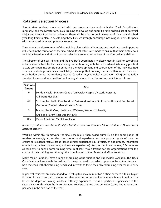### **Rotation Selection Process**

Shortly after residents are matched with our program, they work with their Track Coordinators (primarily) and the Director of Clinical Training to develop and submit a rank-ordered list of potential Major and Minor Rotation experiences. These will be used to begin creation of their individualized year-long training plan. In developing these lists, we strongly encourage incoming residents to speak with current residents and potential supervisors.

Throughout the development of their training plan, residents' interests and needs are very important influences in the formation of the final schedule. All efforts are made to ensure that their preferences for Major Rotation and Minor Rotation selections are met to the best of the Consortium's abilities.

The Director of Clinical Training and the five Track Coordinators typically meet in April to coordinate individualized schedules for the incoming residents. Along with the rank-ordered lists, many practical factors are taken into consideration during the development and coordination of the individualized schedule including supervisor availability, ensuring that training occurs within more than one organization during the residency year (a Canadian Psychological Association [CPA] accreditation standard for consortia), as well as the funding structure of our Consortium which is as follows:

| <b>Positions</b><br>funded | Site                                                                                  |
|----------------------------|---------------------------------------------------------------------------------------|
| 6                          | London Health Sciences Centre (University Hospital, Victoria Hospital,                |
|                            | Children's Hospital)                                                                  |
| 2.5                        | St. Joseph's Health Care London (Parkwood Institute, St. Joseph's Hospital, Southwest |
|                            | Centre for Forensic Mental Health Care)                                               |
| 2                          | Mental Health Care, Health and Wellness, Western University                           |
| 1                          | Child and Parent Resource Institute                                                   |
| 0.5                        | Vanier Children's Mental Wellness                                                     |

*(Note: 1 position = two 6-month Major Rotations and one 6-month Minor rotation = 12 months of Resident activity)*

Working within this framework, the final schedule is then based primarily on the combination of resident interests/goals, resident background and experience, and our program goals of trying to ensure all residents receive broad-based clinical experience (i.e., diversity of age groups, theoretical orientations, patient populations, and service experiences). And, as mentioned above, CPA requires all residents to spend some training time in at least two different partner organizations over the course of their training year through the combination of their Major and Minor rotations.

Many Major Rotations have a range of training opportunities and supervisors available. The Track Coordinator will work with the resident in the spring to discuss which opportunities at the sites are best matched with their training needs and interests to focus their clinical training over the residency year.

In general, residents are encouraged to select up to a maximum of two distinct services within a Major Rotation in which to train, recognizing that selecting more services within a Major Rotation may lessen the depth of training available with any experience. This is of particular significance in the second six months when the Major Rotation consists of three days per week (compared to four days per week in the first half of the year).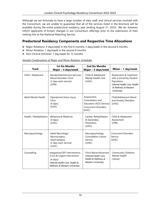Although we are fortunate to have a large number of sites, staff, and clinical services involved with the Consortium, we are unable to guarantee that all of the services listed in the brochure will be available during the entire predoctoral residency year (ending August 31, 2023). We do, however, inform applicants of known changes in our Consortium offerings prior to the submission of their ranking lists to the National Matching Service.

#### **Predoctoral Residency Components and Respective Time Allocations**

- Major Rotations: 4 days/week in the first 6 months; 3 days/week in the second 6 months
- $\triangleright$  Minor Rotation: 1 day/week in the second 6 months
- ▶ Non-Clinical Activities: 1 day/week for 12 months

| <b>Track</b>               | <b>1st Six Months</b><br>Major - 4 days/week                                                                                                             | <b>2nd Six Months</b><br>Major - 3 days/week                                                         | Minor - 1 day/week                                                                                                                       |
|----------------------------|----------------------------------------------------------------------------------------------------------------------------------------------------------|------------------------------------------------------------------------------------------------------|------------------------------------------------------------------------------------------------------------------------------------------|
| Child / Adolescent         | Residential/Intensive Services;<br>Mood Disorders Clinic<br>(2 days each service)<br>(CPRI)                                                              | Child & Adolescent<br>Mental Health Care<br>(LHSC)                                                   | Assessment & Treatment<br>with a University Student<br>Population<br>(Mental Health Care, Health<br>& Wellness at Western<br>University) |
| <b>Adult Mental Health</b> | <b>Operational Stress Injury</b><br>Clinic<br>$(4 \text{ days})$<br>(SJHC)                                                                               | Assessment,<br>Consultation and<br>Education (ACE) Service/<br><b>Concurrent Disorders</b><br>(SJHC) | Child/Adolescent Mood<br>and Anxiety Disorders<br>(LHSC)                                                                                 |
| Health / Rehabilitation    | <b>Behavioural Medicine</b><br>$(4 \text{ days})$<br>(LHSC)                                                                                              | Cardiac Rehabilitation<br>& Secondary<br>Prevention<br>(SJHC)                                        | Child & Adolescent<br>Assessment<br>(CPRI)                                                                                               |
| Neuropsychology            | Adult Neurology/<br>Neurosurgery;<br><b>Adult Epilepsy</b><br>(2 days each service)<br>(LHSC)                                                            | Neuropsychology<br>Consultation Liaison<br>Service<br>(LHSC)                                         | <b>Concurrent Disorders</b><br>Service<br>(SJHC)                                                                                         |
| Counselling                | Integrative/CBT Interventions;<br>Crisis & Urgent Intervention<br>$(4 \text{ days})$<br>(Mental Health Care, Health &<br>Wellness at Western University) | Third Wave/Advanced<br>(Mental Health Care,<br>Health & Wellness at<br>Western University)           | <b>Community Children's</b><br><b>Mental Health</b><br>(Vanier)                                                                          |

#### *Sample Combinations of Major and Minor Rotation Schedules*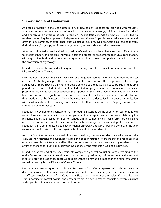### **Supervision and Evaluation**

As noted previously in the Goals description, all psychology residents are provided with regularly scheduled supervision (a minimum of four hours per week on average; minimum three 'individual' and one 'group' on average as per current CPA Accreditation Standards, CPA 2011), sensitive to residents' emerging development as independent practitioners. Supervision can take many forms and often includes a variety of experiences such as case discussions, live observation, co-leading therapy (individual and/or group), audio recordings reviews, and/or video recordings reviews.

Attention is directed toward maintaining residents' caseloads at a level that allows for sufficient time to integrate theory and practice. Individual goals and objectives are set through mutual consultation, with regular feedback and evaluations designed to facilitate growth and positive identification with the profession of psychology.

In addition, residents have individual quarterly meetings with their Track Coordinator and with the Director of Clinical Training.

Each rotation supervisor has his or her own set of required readings and minimum required clinical activities. At the beginning of the rotation, residents also work with their supervisor(s) to develop additional or more specific training and development goals they would like to pursue in that time period. These could include (but are not limited to) identifying certain client populations, particular presenting problems, specific experiences (e.g., groups) or skills (e.g., type of intervention, particular test), and so on. These goals are shared with the resident's Track Coordinator, Site Coordinator for that rotation, and the Director of Clinical Training. As well, in order to facilitate clear communication with residents about their training, supervisors will often discuss a resident's progress with one another on an informal basis.

Feedback is provided to residents informally, through discussions during supervision sessions, as well as with formal written evaluation forms completed at the mid-point and end of each rotation by the resident's supervisors based on a set of various clinical competencies. These forms are consistent across the Consortium for all Tracks and reflect a broad range of clinical and professional areas. Feedback is also communicated to each resident's university Director of Training twice over the year (once after the first six months, and again after the end of the residency).

As input from the residents is valued highly in our training program, residents are asked to formally evaluate their rotations and supervisors at the end of each rotation. To ensure that this feedback is as open as possible, policies are in effect that do not allow those being evaluated by residents to be aware of the feedback until all supervisor evaluations of the residents have been submitted.

In addition, at the end of the year, residents complete a general evaluation form pertaining to the entire Consortium. As with the evaluation of supervisors by residents, policies ensure that the resident is able to provide as open feedback as possible without it having an impact on their final evaluation to their university by the Director of Clinical Training.

Residents are also assigned an individual Psychology Staff Ombudsperson with whom they may discuss any concerns that might arise during their predoctoral residency year. The Ombudsperson is a staff psychologist at one of the Consortium Sites who is not one of the resident's supervisors or Track Coordinator. Formal policies and procedures are in place to resolve conflicts between residents and supervisors in the event that they might occur.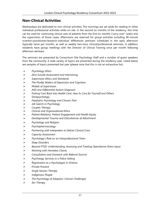## **Non-Clinical Activities**

Wednesdays are dedicated to non-clinical activities. The mornings are set aside for reading or other individual professional activities while on-site. In the second six months of the residency, this time can be used for continuing clinical care of patients from the first six months ('carry-over' cases) and the supervision of those cases. Afternoons are reserved for group activities including 90-minute scientist-practitioner/research-individual differences seminars scheduled in the early afternoon (typically twice per month), as well as weekly two-hour clinical/professional seminars. In addition, residents have group meetings with the Director of Clinical Training once per month following afternoon seminars.

The seminars are presented by Consortium Site Psychology Staff and a number of guest speakers from the community. A wide variety of topics are presented during the residency year. Listed below are samples of topics presented last year (please note that this is not an exhaustive list).

- *Psychology Ethics*
- *Zero Suicide Assessment and Intervening*
- *Supervision Ethics and Standards*
- *The Muddy Waters of Depression and Cognition*
- *Models of Supervision*
- *ASD and Differential Autism Diagnosis*
- *Putting Care Back Into Health Care: How to Care for Yourself and Others*
- *Geropsychology*
- *Paediatric Psychology and Chronic Pain*
- *Job Search in Psychology*
- *Couples Therapy*
- *Clinical and Organizational Ethics*
- *Patient Relations, Patient Engagement and Health Equity*
- *Developmental Trauma and Disturbances of Attachment*
- *Psychology and Religion*
- *Psychopharmacology*
- *Partnering with Interpreters to Deliver Clinical Care*
- *Capacity Assessment*
- *Psychology's Role on an Interprofessional Team*
- *Sleep Disorders*
- *Beyond PTSD: Understanding, Assessing and Treating Operational Stress Injury*
- *Working with Homeless Clients*
- *Consultation and Outreach with Referral Sources*
- *Psychology Services in a Police Setting*
- *Registration as a Psychologist in Ontario*
- *Private Practice*
- *Single Session Therapy*
- *Indigenous People*
- *The Psychology of Adoption: Clinical Challenges*
- *Sex Therapy*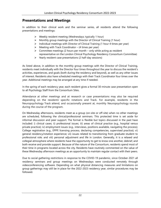### **Presentations and Meetings**

In addition to their clinical work and the seminar series, all residents attend the following presentations and meetings:

- $\triangleright$  Weekly resident meeting (Wednesdays; typically 1 hour)
- $\triangleright$  Monthly group meetings with the Director of Clinical Training (1 hour)
- $\triangleright$  Individual meetings with Director of Clinical Training (1 hour 4 times per year)
- $\triangleright$  Meeting with Track Coordinator (4 times per year)
- $\triangleright$  Committee meetings (2 hours per month only while acting as resident representative on the London Clinical Psychology Residency Consortium Committee)
- $\triangleright$  Yearly resident case presentations (2 half-day sessions)

As listed above, in addition to the monthly group meetings with the Director of Clinical Training, residents meet individually with the Director four times throughout the year to discuss the resident's activities, experiences, and goals (both during the residency and beyond), as well as any other issues of interest. Residents also have scheduled meetings with their Track Coordinator four times over the year. Additional meetings may be arranged at any time if needed.

In the spring of each residency year, each resident gives a formal 30-minute case presentation open to all Psychology Staff from the Consortium Sites.

Attendance at other meetings and at research or case presentations may also be required depending on the residents' specific rotations and Track. For example, residents in the Neuropsychology Track attend, and occasionally present at, monthly Neuropsychology rounds during the course of the program.

On Wednesday afternoons, residents meet as a group (on-site or off-site) when no other meetings are scheduled, following the clinical/professional seminars. This protected time is set aside for informal discussion and peer support. The format is flexible but topics discussed in the past have included: i) clinical cases; ii) professional issues; iii) areas of clinical practice (e.g., hospital versus private practice); iv) employment issues (e.g., interviews, positions available, navigating the process); College registration (e.g., EPPP, licensing process, declaring competencies, supervised practice); vi) general residency/rotation experience; vii) issues related to transitioning from graduate student to professional role; and viii) personal adjustment and life in London. Generally, it is a relaxed and collegial atmosphere where residents have the opportunity to get to know one another, debrief, and both receive and provide support. Because of the nature of the Consortium, residents spend most of their time in programs located across the city. Residents have routinely commented on the value of these Wednesday afternoon meetings as an opportunity to maintain regular contact with their peers.

Due to social gathering restrictions in response to the COVID-19 pandemic, since October 2021 all residency seminars and group meetings on Wednesdays were conducted remotely through videoconferencing software. Depending on what physical distancing measures and limitations on group gatherings may still be in place for the 2022-2023 residency year, similar procedures may be followed.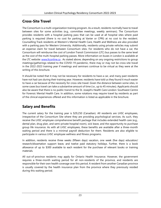### **Cross-Site Travel**

The Consortium is a multi-organization training program. As a result, residents normally have to travel between sites for some activities (e.g., committee meetings, weekly seminars). The Consortium provides residents with a hospital parking pass that can be used at all hospital sites where paid parking is required (there is no cost for parking at Vanier or CPRI) at no cost to the resident. Counselling Track residents at Western's Mental Health Care, Health and Wellness are also provided with a parking pass for Western University. Additionally, residents using private vehicles may submit an expense claim for travel between Consortium sites. For residents who do not have a car, the Consortium will reimburse the cost of London Transit Commission (LTC) bus passes to the same level as the cost of the multi-hospital parking passes. More information on buses in London is available at the LTC website: [www.ltconline.ca](http://www.ltconline.ca/) . As stated above, depending on any ongoing restrictions to group meetings/gatherings related to the COVID-19 pandemic, there may or may not be cross-site travel in the 2022-2023 training year if meetings and seminars continue to be virtual as they were at the writing of this brochure.

It should be noted that it may not be necessary for residents to have a car, and many past residents have not had cars during their training year. However, residents have told us they found it much easier to have a car because of the necessity for cross-site travel. Given the distance between some sites, in some cases bus travel can take a substantive amount of time (i.e., up to 45 minutes). Applicants should also be aware that there is no public transit to the St. Joseph's Health Care London: Southwest Centre for Forensic Mental Health Care. In addition, some rotations may require travel by residents as part of the clinical experiences offered and this information is listed as applicable in the brochure.

## **Salary and Benefits**

The current salary for the training year is \$29,250 (Canadian). All residents are LHSC employees, irrespective of the Consortium Site where they are providing psychological services. As such, they receive the LHSC employee comprehensive benefit package that includes extended health care (e.g., dental plan, drug plan, and semi-private hospital room), sick leave, and the opportunity to purchase group life insurance. As with all LHSC employees, these benefits are available after a three-month waiting period and there is a minimal payroll deduction for them. Residents are also eligible to participate in various LHSC employee wellness and fitness programs.

In addition, residents receive three weeks (fifteen days) vacation, one week (five days) education/ research/dissertation support leave, and twelve paid statutory holidays. Further, there is a book allowance of up to \$300 available to each resident for the purchase of relevant books or training materials.

All out-of-province residents may apply for Ontario Health Insurance. However, the government requires a three-month waiting period for all non-residents of the province, and residents are responsible for their own health coverage over this period. A resident from another Canadian province is usually covered by the health insurance plan from the province where they previously resided during this waiting period.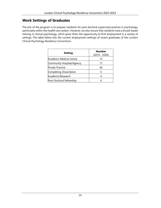### **Work Settings of Graduates**

The aim of the program is to prepare residents for post-doctoral supervised practice in psychology, particularly within the health care system. However, we also ensure that residents have a broad-based training in clinical psychology, which gives them the opportunity to find employment in a variety of settings. The table below lists the current employment settings of recent graduates of the London Clinical Psychology Residency Consortium.

| <b>Setting</b>            | <b>Number</b><br>(2014 - 2020) |
|---------------------------|--------------------------------|
| 'Academic Medical Centre  | 13                             |
| Community Hospital/Agency | 17                             |
| Private Practice          | 46                             |
| Completing Dissertation   | 5                              |
| Academic/Research         |                                |
| Post-Doctoral Fellowship  |                                |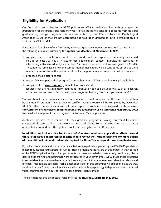### **Eligibility for Application**

Our Consortium subscribes to the APPIC policies and CPA Accreditation Standards with regard to preparation for the predoctoral residency year. For all Tracks, we consider applicants from doctoral graduate psychology programs that are accredited by the CPA or American Psychological Association (APA), or that are not accredited but have been granted an initial accreditation site visit by the CPA or APA.

For consideration of any of our five Tracks, advanced graduate students are required to meet all of the following *minimum* criteria by the **application deadline of November 1, 2021.**

- $\triangleright$  completed at least 600 hours total of supervised practicum experience. Preferably this would include at least 300 hours in face-to-face patient/client contact (interviewing, assessing, or intervening with clients directly) and at least 150 hours of supervision. However, given the COVID-19 pandemic some flexibility in the composition of those hours will be considered as long as there is a minimum total of 600 hours in direct contact, supervision, and support activities combined
- $\triangleright$  proposed their doctoral thesis
- $\triangleright$  successfully completed their program's comprehensive/qualifying examinations (if applicable)
- completed their **core, required** graduate level coursework (courses that are not minimally required for graduation can still be underway such as electives, extra practica, and so on. Consult with your program's Training Director if you are unsure) **\***

**\***In exceptional circumstances, if some core coursework is not completed at the time of application but a student's program Training Director certifies that this course will be completed by December 31, 2021 then the application will still be accepted, considered and reviewed. In those cases, *confirmation of coursework completion must be provided to us no later than January 31, 2022*  to consider the applicant for ranking with the National Matching Service.

Applicants are advised to confirm with their graduate program's Training Director if they have completed all core required coursework as described above. Some ongoing coursework may be optional/elective and thus the applicant could still be eligible for our Residency.

#### **In addition, each of our five Tracks has** *individualized* **minimum application criteria beyond those listed above. Interested applicants should review the Track descriptions for more details of the additional minimal credentials required for those Tracks beyond those described above.**

If you had placements and / or requirements that were negatively impacted by the COVID-19 pandemic, please request that your Director of Clinical Training highlight the nature of this impact in their portion of the APPIC application. If you had placements that were cancelled or prematurely terminated, please describe the training and hours that were anticipated in your cover letter. We will take those situations into consideration on a case-by-case basis. However, the minimum requirements described above and for each Track (please see each Track's descriptions later in this brochure) will still be in place. As well, for direct patient/client contact activity we will combine telepsychology (telephone contact or virtual video-conference) with hours for face-to-face patient/client contact.

The start date for this predoctoral residency year is **Thursday, September 1, 2022**.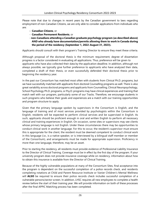Please note that due to changes in recent years by the Canadian government to laws regarding employment of non-Canadian Citizens, we are only able to consider applications from individuals who are:

- **Canadian Citizens**, or
- **Canadian Permanent Residents**, or
- **non-Canadians attending a Canadian graduate psychology program (as described above) AND who already have documentation/permits allowing them to work in Canada during the period of the residency (September 1, 2022-August 31, 2023).**

Applicants should consult with their program's Training Director to ensure they meet these criteria.

Although proposal of the doctoral thesis is the minimum requirement, degree of dissertation progress is a factor considered in evaluating all applications. Thus, preference will be given to applicants who have also collected their data by the application deadline. In addition, although not always possible, we typically give further preference to applicants who have analyzed their data, completed a draft of their thesis, or even successfully defended their doctoral thesis prior to beginning the residency year.

In the past our Consortium has matched most often with students from Clinical Ph.D. programs, but we have successfully matched with applicants from doctoral Counselling programs as well. There is also great variability across doctoral programs and applicants from Counselling, Clinical Neuropsychology, School Psychology Ph.D. programs, or Psy.D. programs may have clinical experiences and training that match well with our program, particularly some of our Tracks. Therefore, we encourage students in such programs who believe their goals and experiences are a match with our training opportunities and program structure to apply.

Given that the primary language spoken by supervisors in the Consortium is English, and the language of training and of most services provided by psychologists within the Consortium is English, residents will be expected to perform clinical services and be supervised in English. As such, applicants should be proficient enough in oral and written English to perform all necessary clinical and training experiences in English. On occasion, some sites or supervisors may see clients whose primary language is not English. Under these circumstances there may be opportunities to conduct clinical work in another language. For this to occur, the resident's supervisor must ensure this is appropriate for the client, the resident must be deemed competent to conduct clinical work in this language (i.e., is a native speaker, or is interviewed by a bilingual staff member or member of the Consortium), and arrangements must be made for appropriate supervision. Proficiency in more than one language, therefore, may be an asset.

Prior to starting the residency, all residents must provide evidence of Professional Liability Insurance to the Director of Clinical Training. Coverage must be in effect by the first day of the program. If your university program does not provide insurance coverage while on residency, information about how to obtain this insurance is available from the Director of Clinical Training.

Because of the highly vulnerable populations at many of the Consortium Sites, final acceptance into the program is dependent on the successful completion of a police records check, and residents completing rotations at Child and Parent Resource Institute or Vanier Children's Mental Wellness will **ALSO** be required to ensure their police records check includes successful completion of a vulnerable persons/sector screen. In addition, LHSC requires all new employees to complete a health review before the start of their training year. We will provide information on both of these processes after the final APPIC Matching process has been completed.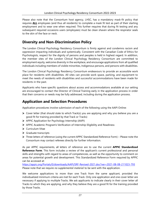Please also note that the Consortium host agency, LHSC, has a mandatory mask-fit policy that requires **ALL** employees (and thus all residents) to complete a mask fit test as part of their starting employment and to wear one when required. This further requires that during fit testing and any subsequent required occasions users (employees) must be clean shaven where the respirator seals to the skin of the face or neck.

### **Diversity and Non-Discrimination Policy**

The London Clinical Psychology Residency Consortium is firmly against and condemns racism and oppression impacting individuals and systemically. Consistent with the Canadian Code of Ethics for Psychologists, respect for the dignity of persons and peoples is held in highest regard. In addition, the member sites of the London Clinical Psychology Residency Consortium are committed to employment equity, welcome diversity in the workplace, and encourage applications from all qualified individuals including members of visible minorities, Indigenous persons, and persons with disabilities.

The London Clinical Psychology Residency Consortium endeavours to provide an accessible work place for residents with disabilities. All sites can provide work space, parking, and equipment to meet the needs of residents with disabilities and successful accommodations have been made for residents in the past.

Applicants who have specific questions about access and accommodations available at our setting are encouraged to contact the Director of Clinical Training early in the application process in order that their concerns or needs may be fully addressed, including during the application process.

### **Application and Selection Procedures**

Application procedures involve submission of each of the following using the AAPI Online:

- $\triangleright$  Cover letter (that should state to which Track(s) you are applying and why you believe you are a good fit for training provided by that Track or Tracks)
- APPIC Application for Psychology Internship (AAPI)
- APPIC Academic Program's Verification of Internship Eligibility and Readiness
- > Curriculum Vitae
- $\triangleright$  Graduate transcripts
- Three letters of reference (using the current APPIC Standardized Reference Form) Please note the Consortium may contact referees directly for further information.

As per APPIC requirements, all letters of reference are to use the current **APPIC Standardized Reference Form**. This form includes a review of the applicant's current professional and personal skills and strengths with regard to areas of competencies, as well as the opportunity to comment on areas for potential growth and development. This Standardized Reference Form required by APPIC can be accessed at:

<https://appic.org/Portals/0/downloads/AAPI/SRF-Revised-2021.doc?ver=2021-08-08-211023-793> Please note that we require *no supplemental material* to be sent with the application.

We welcome applications to more than one Track from the same applicant, provided the individualized minimum criteria are met for each Track. Only one application and one cover letter are necessary if applying to multiple Tracks. We ask applicants to indicate clearly in their cover letter all Tracks to which they are applying, and why they believe they are a good fit for the training provided by those Tracks.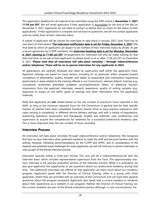The application deadline for all material to be submitted using the AAPI online is **November 1, 2021 11:59 pm EST**. We will email applicants if their application is incomplete by the end of the day on November 5, 2021. Applicants do not need to contact us before then to check on the status of their applications. If their application is complete and we have no questions, we will not contact applicants until we notify them of their interview status.

A subset of applicants will be chosen for interviews to take place in January 2022. Each Track has its own team of interviewers. **The interview notification date is set for Friday, December 3, 2021** (the final date by which all applicants can expect to be notified of their interview status by email). As per a recent agreement by CCPPP members, the **interview booking date is set for Monday, December 6, 2021 starting at 11:00 am EST**. Arrangements for interviews will only be made starting on that date and time, so we ask invited applicants to please email us at or after 11:00 am EST on December 6, 2021. **Please note that all interviews will take place remotely – through videoconference and/or telephone. There will be no in-person interviews for any applicants in 2022.** 

All applications are carefully reviewed and rated by supervisory staff within the applicant's Track. Applicant rankings are based on many factors, including (in no particular order): progress toward completion of dissertation; quality, breadth, and depth of assessment and intervention experience (particularly in areas related to the training offered in our Consortium); relevant didactic training (e.g., coursework, workshops attended); academic accomplishments; letters of reference; faculty's impressions from the applicant interviews; research experience; quality of writing samples (e.g., responses to essays on the AAPI); goals of training; and other information from the application materials.

Note that applicants are **not** ranked based on the raw number of practicum hours reported in the AAPI, as long as the minimum required hours for the Consortium in general and for their specific Track(s) of interest have been completed. Students should strive to have practica experience with cases varying in complexity, in different service delivery settings, and with a variety of populations, presenting questions, assessment and therapeutic models and methods, case conferences, and supervisors to acquire the competencies for readiness for a successful predoctoral residency year. This is more important than the raw number of hours recorded.

#### **Interview Process**

All interviews will take place remotely through videoconference and/or telephone. We recognize that face-to-face interviews allow potential residents to meet the staff and become familiar with the setting. However, following recommendations by the CCPPP and APPIC, and in consideration of the expense and potential travel challenges for many applicants, we will not hold any in-person interviews or visits as part of the formal interview process.

Interviews typically follow a three-part format. The core will be a videoconference/call with the interview team, which includes representative supervisors from the Track. This approximately onehour interview is the primary evaluative portion of the interview process. While it is evaluative, we also give applicants the opportunity to ask questions about our predoctoral residency during that time. Two additional interviews are offered so that applicants can learn more about our residency program. Applicants speak with the Director of Clinical Training, often in a group with other applicants, where they are provided with an overview of the Consortium and can have their general questions about the program answered. Applicants also speak with a current resident or residents about their experiences as a resident in our program. Neither the Director of Clinical Training nor the current residents are part of the formal evaluative process although, in rare circumstances, the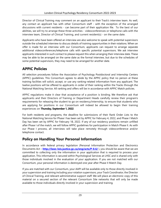Director of Clinical Training may comment on an applicant to their Track's interview team. As well, any contact an applicant has with other Consortium staff - with the exception of the arranged discussions with current residents - can become part of their application file. To the best of our abilities, we will try to arrange these three activities - videoconferences or telephone calls with the interview team, Director of Clinical Training, and current resident(s) - on the same date.

Applicants who have been offered an interview are also welcome to speak with potential supervisors outside the scheduled interview to discuss details of training opportunities in their rotations. When an offer is made for an interview with our Consortium, applicants can request to arrange separate additional videoconferences/telephone calls with specific potential supervisors. We ask interview applicants interested in such contact to please request this when arranging their interview date. These may be able to be arranged on the same date as the formal interview, but due to the schedules of some potential supervisors, they may need to be arranged for another date.

## **APPIC Policies**

All selection procedures follow the Association of Psychology Postdoctoral and Internship Centers (APPIC) guidelines. This Consortium agrees to abide by the APPIC policy that no person at these training facilities will solicit, accept, or use any ranking-related information from any applicant. The twelve positions will be offered to applicants in order of their ranking within the Tracks through the National Matching Service. All ranking and offers will be in accordance with APPIC Match policies.

APPIC regulations make it clear that acceptance of a position is binding. We therefore ask that applicants and their Directors of Training or Department Heads carefully review their program's requirements for releasing the student to go on residency/internship, to ensure that students who are applying for positions in our Consortium will indeed be allowed to begin their training experiences on **Thursday, September 1, 2022**.

For both residents and programs, the deadline for submissions of their Rank Order Lists to the National Matching Service for Phase I has been set by APPIC for February 4, 2022, and Phase I Match Day has been set by APPIC for February 18, 2022. If any of our residency positions remain unfilled after Phase I of the match, we will follow APPIC guidelines for participation in Match Phase II. As with our Phase I process, all interviews will take place remotely through videoconference and/or telephone contact.

## **Policy on Handling Your Personal Information**

In accordance with federal privacy legislation (Personal Information Protection and Electronics Documents Act – **<http://laws-lois.justice.gc.ca/eng/acts/P-8.6/>** ), you should be aware that we are committed to collecting only the information in your application that is required to process your application. This information is secured within Psychological Services at LHSC and is shared only with those individuals involved in the evaluation of your application. If you are not matched with our Consortium, your personal information is destroyed one year after Phase II Match Day.

If you are matched with our Consortium, your AAPI will be available only to those directly involved in your supervision and training including your rotation supervisors, your Track Coordinator, the Director of Clinical Training, and relevant administrative support staff. We will place an electronic copy of this material on a secured section of the relevant Consortium Site networks that will only be made available to those individuals directly involved in your supervision and training.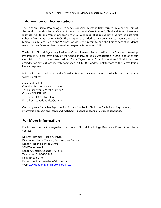#### **Information on Accreditation**

The London Clinical Psychology Residency Consortium was initially formed by a partnership of the London Health Sciences Centre, St. Joseph's Health Care (London), Child and Parent Resource Institute (CPRI), and Vanier Children's Mental Wellness. That residency program had its first cohort of residents begin in 2008. The program expanded to include a new partnership with the Mental Health Care, Health and Wellness at Western University, and the first cohort of residents from this new five-member consortium began in September 2012.

The London Clinical Psychology Residency Consortium was first accredited as a Doctoral Internship Program in Clinical Psychology by the Canadian Psychological Association in 2009, and after our site visit in 2014 it was re-accredited for a 7-year term, from 2013-14 to 2020-21. Our reaccreditation site visit was recently completed in July 2021 and we look forward to the Accreditation Panel's response.

Information on accreditation by the Canadian Psychological Association is available by contacting the following office:

Accreditation Office Canadian Psychological Association 141 Laurier Avenue West, Suite 702 Ottawa, ON, K1P 5J3 Telephone: 1-888-472-0657 E-mail: accreditationoffi[ce@cpa.ca](mailto:e@cpa.ca) 

Our program's Canadian Psychological Association Public Disclosure Table including summary information on past applicants and matched residents appears on a subsequent page.

### **For More Information**

For further information regarding the London Clinical Psychology Residency Consortium, please contact:

Dr. Brent Hayman-Abello, C. Psych. Director of Clinical Training, Psychological Services London Health Sciences Centre 339 Windermere Road London, Ontario, Canada, N6A 5A5 Telephone: 519-663-3466 Fax: 519-663-3176 [E-mail: brent.haymanabello@lhsc.on.ca](mailto:brent.haymanabello@lhsc.on.ca)  Web: [www.londoninternshipconsortium.ca](http://www.londoninternshipconsortium.ca/)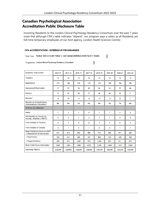### **Canadian Psychological Association Accreditation Public Disclosure Table**

Incoming Residents to the London Clinical Psychology Residency Consortium over the past 7 years (note that although CPA's table indicates "stipend", our program pays a salary as all Residents are full-time temporary employees of our host agency, London Health Sciences Centre):

#### **CPA ACCREDITATION - INTERNSHIP PROGRAMMES**

 $\overline{\phantom{a}}$ Table Type PUBLIC DISCLOSURE TABLE 1: INCOMING INTERNS OVER PAST 7 YEARS

Programme London Clinical Psychology Residency Consortium

| Academic Year/Cohort                                          | 2014-15  | 2015-16        | 2016-17  | 2017-18  | 2018-19        | 2019-20  | 2020-21  | 2021-22  |
|---------------------------------------------------------------|----------|----------------|----------|----------|----------------|----------|----------|----------|
| Positions                                                     | 14       | 14             | 12       | 12       | 12             | 12       | 12       | 12       |
| Applications                                                  | 175      | 180            | 174      | 193      | 154            | 168      | 184      | 196      |
| Interviewed/Short-Listed                                      | 77       | 73             | 78       | 83       | 81             | 74       | 77       | 80       |
| Ranked                                                        | 73       | 82             | 68       | 77       | 68             | 68       | 68       | 71       |
| Matched                                                       | 14       | 14             | 12       | 12       | 12             | 12       | 12       | 11       |
| Matched as % Applications<br>(Automatically Calculated)       | 8%       | 8%             | 7%       | 6%       | 8%             | 7%       | 7%       | 6%       |
| Of those who Matched:                                         |          |                |          |          |                |          |          |          |
| Males                                                         | 1        | $\overline{2}$ | 1        | 0        | 1              | 1        | 3        | 3        |
| Self-Identify as Diverse (ie,<br>minority, disability, LGBTQ) | 5        | 2              | 1        | 2        | 7              | 1        | 4        | 3        |
| From Outside of Province                                      | 6        | 3              | 4        | 8        | $\overline{7}$ | 5        | 6        | 3        |
| From Outside of Canada                                        | 0        | 1              | 0        | 1        | $\mathbf 0$    | 0        | 1        | 1        |
| Mean Practicum Hours on AAPI<br>-->Assessment & Intervention  | 611      | 616            | 602      | 684      | 732            | 626      | 671      | 620      |
| -->Supervision                                                | 353      | 361            | 299      | 391      | 409            | 319      | 349      | 344      |
| -->Support/Indirect                                           | 843      | 877            | 1,087    | 978      | 1,098          | 951      | 911      | 872      |
| Mean Total Hours (Automatic)                                  | 1,807    | 1,854          | 1,988    | 2,053    | 2,239          | 1,896    | 1,931    | 1,836    |
| Internship Stipend                                            | \$28,000 | \$28,000       | \$28,000 | \$28,000 | \$29,250       | \$29,250 | \$29,250 | \$29,250 |

 $\overline{\phantom{a}}$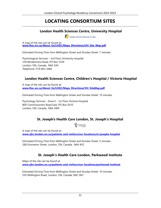#### **LOCATING CONSORTIUM SITES** \_\_\_\_\_\_\_\_\_\_\_\_\_\_\_\_\_\_\_\_\_\_\_\_\_\_\_\_\_\_\_\_\_\_\_\_\_\_\_\_\_\_\_\_\_\_\_\_\_\_\_\_\_\_\_\_\_\_\_\_\_\_\_\_\_\_\_\_\_\_\_\_\_\_\_\_\_\_\_\_\_\_\_\_\_\_\_\_\_\_\_\_\_\_\_\_\_\_\_\_\_\_\_\_\_\_\_

#### **London Health Sciences Centre, University Hospital**

London Health Sciences Centre

A map of the site can be found at: **[www.lhsc.on.ca/About\\_Us/LHSC/Maps\\_Directions/UH\\_Site\\_Map.pdf](http://www.lhsc.on.ca/About_Us/LHSC/Maps_Directions/UH_Site_Map.pdf)** 

Estimated Driving Time from Wellington Street and Dundas Street: 7 minutes

Psychological Services – 3rd Floor University Hospital 339 Windermere Road, PO Box 5339 London, ON, Canada, N6A 5A5 Telephone: 519-663-3466

#### **London Health Sciences Centre, Children's Hospital / Victoria Hospital**

A map of the site can be found at: **[www.lhsc.on.ca/About\\_Us/LHSC/Maps\\_Directions/VH\\_SiteMap.pdf](http://www.lhsc.on.ca/About_Us/LHSC/Maps_Directions/VH_SiteMap.pdf)**

Estimated Driving Time from Wellington Street and Dundas Street: 10 minutes

Psychology Services - Zone E - 1st Floor Victoria Hospital 800 Commissioners Road East, PO Box 5010 London, ON, Canada, N6A 5W9

#### **St. Joseph's Health Care London, St. Joseph's Hospital**

SI JOSEPH'S

A map of the site can be found at: **[www.sjhc.london.on.ca/patients-and-visitors/our-locations/st-josephs-hospital](http://www.sjhc.london.on.ca/patients-and-visitors/our-locations/st-josephs-hospital)**

Estimated Driving Time from Wellington Street and Dundas Street: 5 minutes 268 Grosvenor Street, London, ON, Canada, N6A 4V2

#### **St. Joseph's Health Care London, Parkwood Institute**

Maps of the site can be found at: **[www.sjhc.london.on.ca/patients-and-visitors/our-locations/parkwood-institute](http://www.sjhc.london.on.ca/patients-and-visitors/our-locations/parkwood-institute)** 

Estimated Driving Time from Wellington Street and Dundas Street: 10 minutes 550 Wellington Road, London, ON, Canada, N6C 0A7